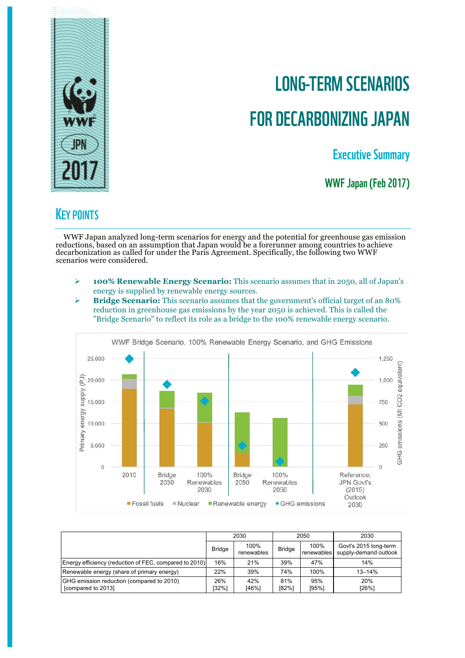

# LONG-TERM SCENARIOS FOR DECARBONIZING JAPAN

Executive Summary

WWF Japan (Feb 2017)

# **KEY POINTS**

WWF Japan analyzed long-term scenarios for energy and the potential for greenhouse gas emission reductions, based on an assumption that Japan would be a forerunner among countries to achieve decarbonization as called for under the Paris Agreement. Specifically, the following two WWF scenarios were considered.

- Ø **100% Renewable Energy Scenario:** This scenario assumes that in 2050, all of Japan's energy is supplied by renewable energy sources.
- Ø **Bridge Scenario:** This scenario assumes that the government's official target of an 80% reduction in greenhouse gas emissions by the year 2050 is achieved. This is called the "Bridge Scenario" to reflect its role as a bridge to the 100% renewable energy scenario.



|                                                                 | 2030          |                    | 2050          |                    | 2030                                           |  |
|-----------------------------------------------------------------|---------------|--------------------|---------------|--------------------|------------------------------------------------|--|
|                                                                 | <b>Bridge</b> | 100%<br>renewables | <b>Bridge</b> | 100%<br>renewables | Govt's 2015 long-term<br>supply-demand outlook |  |
| Energy efficiency (reduction of FEC, compared to 2010)          | 16%           | 21%                | 39%           | 47%                | 14%                                            |  |
| Renewable energy (share of primary energy)                      | 22%           | 39%                | 74%           | 100%               | $13 - 14%$                                     |  |
| GHG emission reduction (compared to 2010)<br>[compared to 2013] | 26%<br>[32%]  | 42%<br>[46%]       | 81%<br>[82%]  | 95%<br>[95%]       | 20%<br>[26%]                                   |  |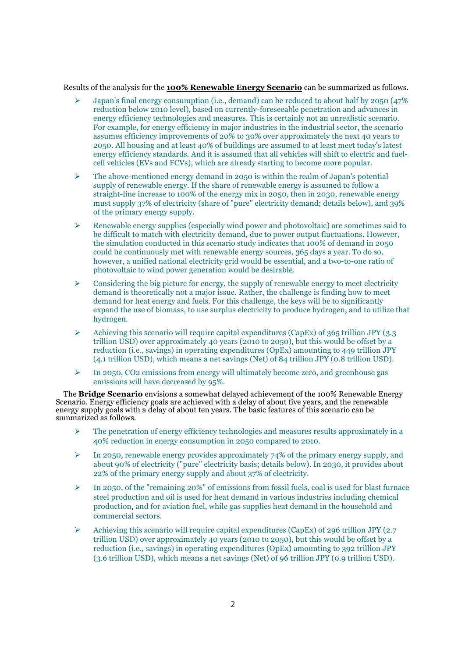Results of the analysis for the **100% Renewable Energy Scenario** can be summarized as follows.

- Ø Japan's final energy consumption (i.e., demand) can be reduced to about half by 2050 (47% reduction below 2010 level), based on currently-foreseeable penetration and advances in energy efficiency technologies and measures. This is certainly not an unrealistic scenario. For example, for energy efficiency in major industries in the industrial sector, the scenario assumes efficiency improvements of 20% to 30% over approximately the next 40 years to 2050. All housing and at least 40% of buildings are assumed to at least meet today's latest energy efficiency standards. And it is assumed that all vehicles will shift to electric and fuelcell vehicles (EVs and FCVs), which are already starting to become more popular.
- $\geq$  The above-mentioned energy demand in 2050 is within the realm of Japan's potential supply of renewable energy. If the share of renewable energy is assumed to follow a straight-line increase to 100% of the energy mix in 2050, then in 2030, renewable energy must supply 37% of electricity (share of "pure" electricity demand; details below), and 39% of the primary energy supply.
- $\triangleright$  Renewable energy supplies (especially wind power and photovoltaic) are sometimes said to be difficult to match with electricity demand, due to power output fluctuations. However, the simulation conducted in this scenario study indicates that 100% of demand in 2050 could be continuously met with renewable energy sources, 365 days a year. To do so, however, a unified national electricity grid would be essential, and a two-to-one ratio of photovoltaic to wind power generation would be desirable.
- $\triangleright$  Considering the big picture for energy, the supply of renewable energy to meet electricity demand is theoretically not a major issue. Rather, the challenge is finding how to meet demand for heat energy and fuels. For this challenge, the keys will be to significantly expand the use of biomass, to use surplus electricity to produce hydrogen, and to utilize that hydrogen.
- $\triangleright$  Achieving this scenario will require capital expenditures (CapEx) of 365 trillion JPY (3.3) trillion USD) over approximately 40 years (2010 to 2050), but this would be offset by a reduction (i.e., savings) in operating expenditures (OpEx) amounting to 449 trillion JPY (4.1 trillion USD), which means a net savings (Net) of 84 trillion JPY (0.8 trillion USD).
- $\geq$  In 2050, CO2 emissions from energy will ultimately become zero, and greenhouse gas emissions will have decreased by 95%.

The **Bridge Scenario** envisions a somewhat delayed achievement of the 100% Renewable Energy Scenario. Energy efficiency goals are achieved with a delay of about five years, and the renewable energy supply goals with a delay of about ten years. The basic features of this scenario can be summarized as follows.

- $\triangleright$  The penetration of energy efficiency technologies and measures results approximately in a 40% reduction in energy consumption in 2050 compared to 2010.
- $\triangleright$  In 2050, renewable energy provides approximately 74% of the primary energy supply, and about 90% of electricity ("pure" electricity basis; details below). In 2030, it provides about 22% of the primary energy supply and about 37% of electricity.
- $\triangleright$  In 2050, of the "remaining 20%" of emissions from fossil fuels, coal is used for blast furnace steel production and oil is used for heat demand in various industries including chemical production, and for aviation fuel, while gas supplies heat demand in the household and commercial sectors.
- $\triangleright$  Achieving this scenario will require capital expenditures (CapEx) of 296 trillion JPY (2.7) trillion USD) over approximately 40 years (2010 to 2050), but this would be offset by a reduction (i.e., savings) in operating expenditures (OpEx) amounting to 392 trillion JPY (3.6 trillion USD), which means a net savings (Net) of 96 trillion JPY (0.9 trillion USD).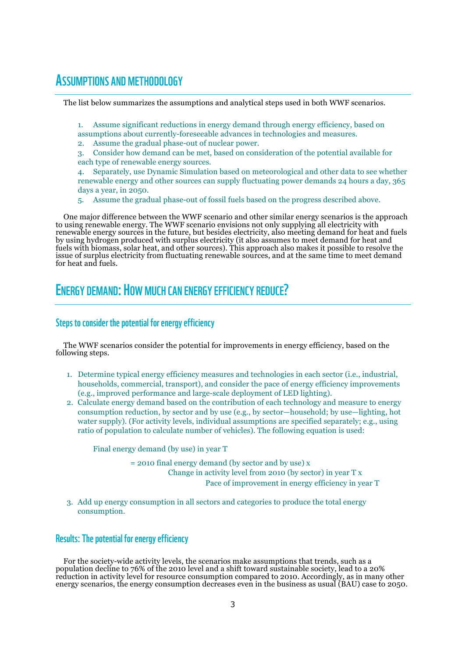### ASSUMPTIONS AND METHODOLOGY

The list below summarizes the assumptions and analytical steps used in both WWF scenarios.

- 1. Assume significant reductions in energy demand through energy efficiency, based on
- assumptions about currently-foreseeable advances in technologies and measures.
- 2. Assume the gradual phase-out of nuclear power.
- 3. Consider how demand can be met, based on consideration of the potential available for each type of renewable energy sources.
- 4. Separately, use Dynamic Simulation based on meteorological and other data to see whether renewable energy and other sources can supply fluctuating power demands 24 hours a day, 365 days a year, in 2050.
- 5. Assume the gradual phase-out of fossil fuels based on the progress described above.

One major difference between the WWF scenario and other similar energy scenarios is the approach to using renewable energy. The WWF scenario envisions not only supplying all electricity with renewable energy sources in the future, but besides electricity, also meeting demand for heat and fuels by using hydrogen produced with surplus electricity (it also assumes to meet demand for heat and fuels with biomass, solar heat, and other sources). This approach also makes it possible to resolve the issue of surplus electricity from fluctuating renewable sources, and at the same time to meet demand for heat and fuels.

# ENERGY DEMAND: HOW MUCH CAN ENERGY EFFICIENCY REDUCE?

#### Steps to consider the potential for energy efficiency

The WWF scenarios consider the potential for improvements in energy efficiency, based on the following steps.

- 1. Determine typical energy efficiency measures and technologies in each sector (i.e., industrial, households, commercial, transport), and consider the pace of energy efficiency improvements (e.g., improved performance and large-scale deployment of LED lighting).
- 2. Calculate energy demand based on the contribution of each technology and measure to energy consumption reduction, by sector and by use (e.g., by sector—household; by use—lighting, hot water supply). (For activity levels, individual assumptions are specified separately; e.g., using ratio of population to calculate number of vehicles). The following equation is used:

Final energy demand (by use) in year T

= 2010 final energy demand (by sector and by use) x Change in activity level from 2010 (by sector) in year T x Pace of improvement in energy efficiency in year T

3. Add up energy consumption in all sectors and categories to produce the total energy consumption.

#### Results: The potential for energy efficiency

For the society-wide activity levels, the scenarios make assumptions that trends, such as a population decline to 76% of the 2010 level and a shift toward sustainable society, lead to a 20% reduction in activity level for resource consumption compared to 2010. Accordingly, as in many other energy scenarios, the energy consumption decreases even in the business as usual (BAU) case to 2050.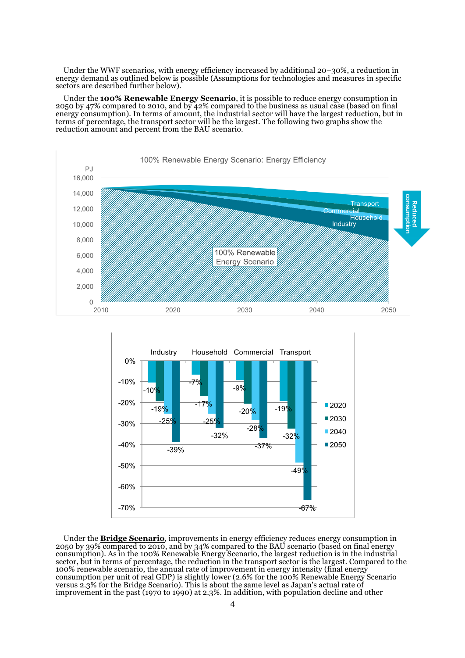Under the WWF scenarios, with energy efficiency increased by additional 20–30%, a reduction in energy demand as outlined below is possible (Assumptions for technologies and measures in specific sectors are described further below).

Under the **100% Renewable Energy Scenario**, it is possible to reduce energy consumption in 2050 by 47% compared to 2010, and by 42% compared to the business as usual case (based on final energy consumption). In terms of amount, the industrial sector will have the largest reduction, but in terms of percentage, the transport sector will be the largest. The following two graphs show the reduction amount and percent from the BAU scenario.





Under the **Bridge Scenario**, improvements in energy efficiency reduces energy consumption in 2050 by 39% compared to 2010, and by 34% compared to the BAU scenario (based on final energy consumption). As in the 100% Renewable Energy Scenario, the largest reduction is in the industrial sector, but in terms of percentage, the reduction in the transport sector is the largest. Compared to the 100% renewable scenario, the annual rate of improvement in energy intensity (final energy consumption per unit of real GDP) is slightly lower (2.6% for the 100% Renewable Energy Scenario versus 2.3% for the Bridge Scenario). This is about the same level as Japan's actual rate of improvement in the past (1970 to 1990) at 2.3%. In addition, with population decline and other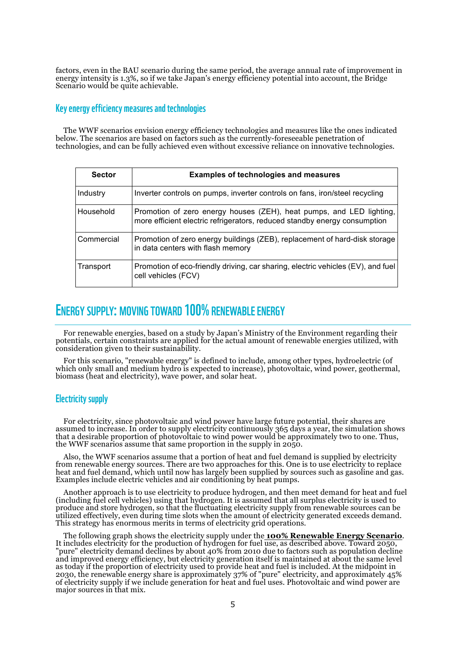factors, even in the BAU scenario during the same period, the average annual rate of improvement in energy intensity is 1.3%, so if we take Japan's energy efficiency potential into account, the Bridge Scenario would be quite achievable.

#### Key energy efficiency measures and technologies

The WWF scenarios envision energy efficiency technologies and measures like the ones indicated below. The scenarios are based on factors such as the currently-foreseeable penetration of technologies, and can be fully achieved even without excessive reliance on innovative technologies.

| <b>Sector</b> | <b>Examples of technologies and measures</b>                                                                                                      |
|---------------|---------------------------------------------------------------------------------------------------------------------------------------------------|
| Industry      | Inverter controls on pumps, inverter controls on fans, iron/steel recycling                                                                       |
| Household     | Promotion of zero energy houses (ZEH), heat pumps, and LED lighting,<br>more efficient electric refrigerators, reduced standby energy consumption |
| Commercial    | Promotion of zero energy buildings (ZEB), replacement of hard-disk storage<br>in data centers with flash memory                                   |
| Transport     | Promotion of eco-friendly driving, car sharing, electric vehicles (EV), and fuel<br>cell vehicles (FCV)                                           |

# ENERGY SUPPLY: MOVING TOWARD 100% RENEWABLE ENERGY

For renewable energies, based on a study by Japan's Ministry of the Environment regarding their potentials, certain constraints are applied for the actual amount of renewable energies utilized, with consideration given to their sustainability.

For this scenario, "renewable energy" is defined to include, among other types, hydroelectric (of which only small and medium hydro is expected to increase), photovoltaic, wind power, geothermal, biomass (heat and electricity), wave power, and solar heat.

#### Electricity supply

For electricity, since photovoltaic and wind power have large future potential, their shares are assumed to increase. In order to supply electricity continuously 365 days a year, the simulation shows that a desirable proportion of photovoltaic to wind power would be approximately two to one. Thus, the WWF scenarios assume that same proportion in the supply in 2050.

Also, the WWF scenarios assume that a portion of heat and fuel demand is supplied by electricity from renewable energy sources. There are two approaches for this. One is to use electricity to replace heat and fuel demand, which until now has largely been supplied by sources such as gasoline and gas. Examples include electric vehicles and air conditioning by heat pumps.

Another approach is to use electricity to produce hydrogen, and then meet demand for heat and fuel (including fuel cell vehicles) using that hydrogen. It is assumed that all surplus electricity is used to produce and store hydrogen, so that the fluctuating electricity supply from renewable sources can be utilized effectively, even during time slots when the amount of electricity generated exceeds demand. This strategy has enormous merits in terms of electricity grid operations.

The following graph shows the electricity supply under the **100% Renewable Energy Scenario**.<br>It includes electricity for the production of hydrogen for fuel use, as described above. Toward 2050, "pure" electricity demand declines by about 40% from 2010 due to factors such as population decline and improved energy efficiency, but electricity generation itself is maintained at about the same level as today if the proportion of electricity used to provide heat and fuel is included. At the midpoint in 2030, the renewable energy share is approximately 37% of "pure" electricity, and approximately 45% of electricity supply if we include generation for heat and fuel uses. Photovoltaic and wind power are major sources in that mix.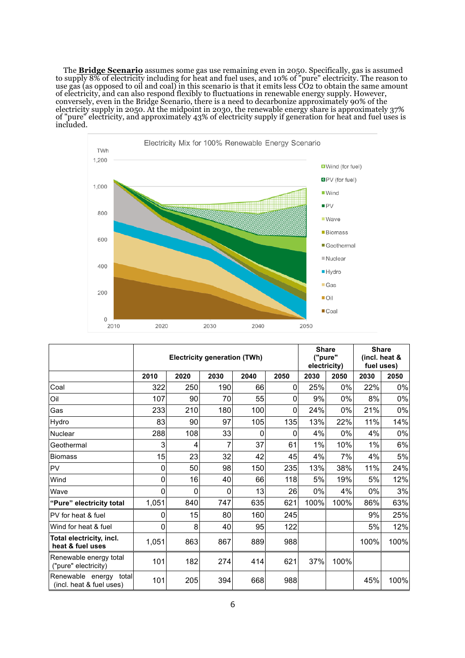The **Bridge Scenario** assumes some gas use remaining even in 2050. Specifically, gas is assumed to supply 8% of electricity including for heat and fuel uses, and 10% of "pure" electricity. The reason to use gas (as opposed to oil and coal) in this scenario is that it emits less CO2 to obtain the same amount of electricity, and can also respond flexibly to fluctuations in renewable energy supply. However, conversely, even in the Bridge Scenario, there is a need to decarbonize approximately 90% of the electricity supply in 2050. At the midpoint in 2030, the renewable energy share is approximately 37% of "pure" electricity, and approximately 43% of electricity supply if generation for heat and fuel uses is included.



|                                                       | <b>Electricity generation (TWh)</b> |      |      |      |      | <b>Share</b><br>("pure"<br>electricity) |       | <b>Share</b><br>(incl. heat &<br>fuel uses) |       |
|-------------------------------------------------------|-------------------------------------|------|------|------|------|-----------------------------------------|-------|---------------------------------------------|-------|
|                                                       | 2010                                | 2020 | 2030 | 2040 | 2050 | 2030                                    | 2050  | 2030                                        | 2050  |
| Coal                                                  | 322                                 | 250  | 190  | 66   | 0    | 25%                                     | $0\%$ | 22%                                         | $0\%$ |
| Oil                                                   | 107                                 | 90   | 70   | 55   | 0    | 9%                                      | 0%    | 8%                                          | 0%    |
| Gas                                                   | 233                                 | 210  | 180  | 100  | 0    | 24%                                     | 0%    | 21%                                         | 0%    |
| Hydro                                                 | 83                                  | 90   | 97   | 105  | 135  | 13%                                     | 22%   | 11%                                         | 14%   |
| <b>Nuclear</b>                                        | 288                                 | 108  | 33   | 0    | 0    | 4%                                      | $0\%$ | 4%                                          | 0%    |
| Geothermal                                            | 3                                   | 4    | 7    | 37   | 61   | 1%                                      | 10%   | 1%                                          | 6%    |
| Biomass                                               | 15                                  | 23   | 32   | 42   | 45   | 4%                                      | 7%    | 4%                                          | 5%    |
| <b>PV</b>                                             | 0                                   | 50   | 98   | 150  | 235  | 13%                                     | 38%   | 11%                                         | 24%   |
| Wind                                                  | 0                                   | 16   | 40   | 66   | 118  | 5%                                      | 19%   | 5%                                          | 12%   |
| Wave                                                  | 0                                   | 0    | 0    | 13   | 26   | 0%                                      | 4%    | 0%                                          | 3%    |
| "Pure" electricity total                              | 1,051                               | 840  | 747  | 635  | 621  | 100%                                    | 100%  | 86%                                         | 63%   |
| PV for heat & fuel                                    | 0                                   | 15   | 80   | 160  | 245  |                                         |       | 9%                                          | 25%   |
| Wind for heat & fuel                                  | 0                                   | 8    | 40   | 95   | 122  |                                         |       | 5%                                          | 12%   |
| Total electricity, incl.<br>heat & fuel uses          | 1,051                               | 863  | 867  | 889  | 988  |                                         |       | 100%                                        | 100%  |
| Renewable energy total<br>("pure" electricity)        | 101                                 | 182  | 274  | 414  | 621  | 37%                                     | 100%  |                                             |       |
| Renewable energy<br>total<br>(incl. heat & fuel uses) | 101                                 | 205  | 394  | 668  | 988  |                                         |       | 45%                                         | 100%  |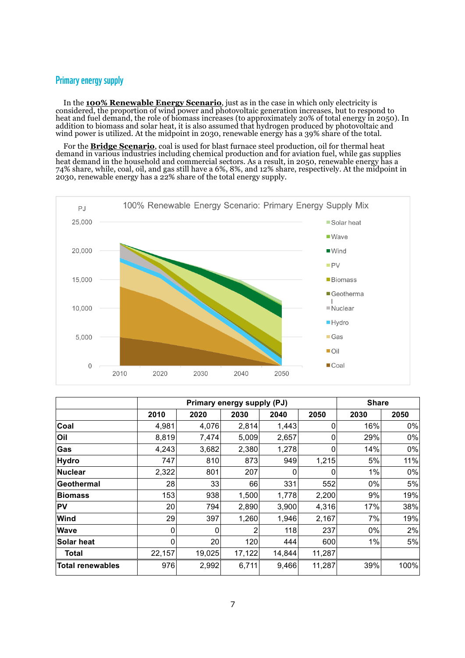#### Primary energy supply

In the **100% Renewable Energy Scenario**, just as in the case in which only electricity is considered, the proportion of wind power and photovoltaic generation increases, but to respond to heat and fuel demand, the role of biomass increases (to approximately 20% of total energy in 2050). In addition to biomass and solar heat, it is also assumed that hydrogen produced by photovoltaic and wind power is utilized. At the midpoint in 2030, renewable energy has a 39% share of the total.

For the **Bridge Scenario**, coal is used for blast furnace steel production, oil for thermal heat demand in various industries including chemical production and for aviation fuel, while gas supplies heat demand in the household and commercial sectors. As a result, in 2050, renewable energy has a 74% share, while, coal, oil, and gas still have a 6%, 8%, and 12% share, respectively. At the midpoint in 2030, renewable energy has a 22% share of the total energy supply.



|                   |        | Primary energy supply (PJ) | <b>Share</b>   |        |        |      |      |
|-------------------|--------|----------------------------|----------------|--------|--------|------|------|
|                   | 2010   | 2020                       | 2030           | 2040   | 2050   | 2030 | 2050 |
| Coal              | 4,981  | 4,076                      | 2,814          | 1,443  | ი      | 16%  | 0%   |
| Oil               | 8,819  | 7,474                      | 5,009          | 2,657  | Ω      | 29%  | 0%   |
| Gas               | 4,243  | 3,682                      | 2,380          | 1,278  | 0      | 14%  | 0%   |
| <b>Hydro</b>      | 747    | 810                        | 873            | 949    | 1,215  | 5%   | 11%  |
| Nuclear           | 2,322  | 801                        | 207            | 0      | 0      | 1%   | 0%   |
| Geothermal        | 28     | 33                         | 66             | 331    | 552    | 0%   | 5%   |
| <b>Biomass</b>    | 153    | 938                        | 1,500          | 1,778  | 2,200  | 9%   | 19%  |
| <b>PV</b>         | 20     | 794                        | 2,890          | 3,900  | 4,316  | 17%  | 38%  |
| <b>Wind</b>       | 29     | 397                        | 1,260          | 1,946  | 2,167  | 7%   | 19%  |
| <b>Wave</b>       | 0      | 0                          | $\overline{2}$ | 118    | 237    | 0%   | 2%   |
| <b>Solar heat</b> | 0      | 20                         | 120            | 444    | 600    | 1%   | 5%   |
| Total             | 22,157 | 19,025                     | 17,122         | 14,844 | 11,287 |      |      |
| Total renewables  | 976    | 2,992                      | 6,711          | 9,466  | 11,287 | 39%  | 100% |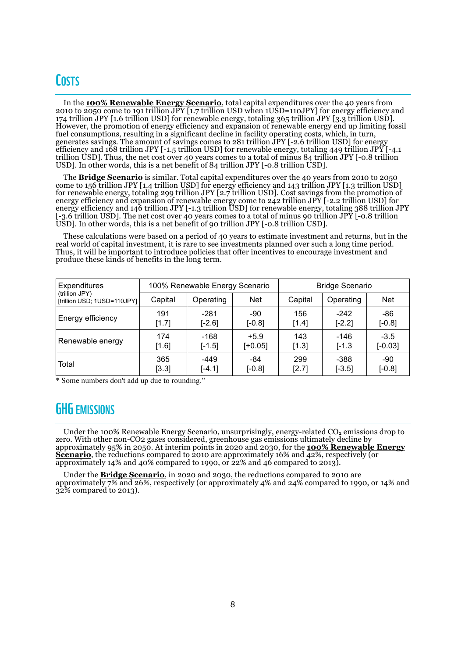# **COSTS**

In the **100% Renewable Energy Scenario**, total capital expenditures over the 40 years from 2010 to 2050 come to 191 trillion JPY [1.7 trillion USD when 1USD=110JPY] for energy efficiency and 174 trillion JPY [1.6 trillion USD] for renewable energy, totaling 365 trillion JPY [3.3 trillion USD]. However, the promotion of energy efficiency and expansion of renewable energy end up limiting fossil fuel consumptions, resulting in a significant decline in facility operating costs, which, in turn, generates savings. The amount of savings comes to 281 trillion JPY [-2.6 trillion USD] for energy efficiency and 168 trillion JPY [-1.5 trillion USD] for renewable energy, totaling 449 trillion JPY [-4.1 trillion USD]. Thus, the net cost over 40 years comes to a total of minus 84 trillion JPY [-0.8 trillion USD]. In other words, this is a net benefit of 84 trillion JPY [-0.8 trillion USD].

The **Bridge Scenario** is similar. Total capital expenditures over the 40 years from 2010 to 2050 come to 156 trillion JPY [1.4 trillion USD] for energy efficiency and 143 trillion JPY [1.3 trillion USD] for renewable energy, totaling 299 trillion JPY [2.7 trillion USD]. Cost savings from the promotion of energy efficiency and expansion of renewable energy come to 242 trillion JPY [-2.2 trillion USD] for energy efficiency and 146 trillion JPY [-1.3 trillion USD] for renewable energy, totaling 388 trillion JPY [-3.6 trillion USD]. The net cost over 40 years comes to a total of minus 90 trillion JPY [-0.8 trillion USD]. In other words, this is a net benefit of 90 trillion JPY [-0.8 trillion USD].

These calculations were based on a period of 40 years to estimate investment and returns, but in the real world of capital investment, it is rare to see investments planned over such a long time period. Thus, it will be important to introduce policies that offer incentives to encourage investment and produce these kinds of benefits in the long term.

| <b>Expenditures</b>                           |                                    | 100% Renewable Energy Scenario |                      | <b>Bridge Scenario</b> |            |           |  |
|-----------------------------------------------|------------------------------------|--------------------------------|----------------------|------------------------|------------|-----------|--|
| (trillion JPY)<br>[trillion USD; 1USD=110JPY] | <b>Net</b><br>Capital<br>Operating |                                | Capital<br>Operating |                        | <b>Net</b> |           |  |
| <b>Energy efficiency</b>                      | 191                                | $-281$                         | -90                  | 156                    | $-242$     | -86       |  |
|                                               | [1.7]                              | $[-2.6]$                       | $[-0.8]$             | [1.4]                  | $[-2.2]$   | $[-0.8]$  |  |
| Renewable energy                              | 174                                | $-168$                         | $+5.9$               | 143                    | -146       | $-3.5$    |  |
|                                               | [1.6]                              | $[-1.5]$                       | $[+0.05]$            | [1.3]                  | $[-1.3]$   | $[-0.03]$ |  |
| Total                                         | 365                                | $-449$                         | -84                  | 299                    | -388       | -90       |  |
|                                               | [3.3]                              | $[-4.1]$                       | $[-0.8]$             | [2.7]                  | $[-3.5]$   | $[-0.8]$  |  |

\* Some numbers don't add up due to rounding."

### **GHG EMISSIONS**

Under the 100% Renewable Energy Scenario, unsurprisingly, energy-related  $CO<sub>2</sub>$  emissions drop to zero. With other non-CO2 gases considered, greenhouse gas emissions ultimately decline by approximately 95% in 2050. At interim points in 2020 and 2030, for the **100% Renewable Energy Scenario**, the reductions compared to 2010 are approximately 16% and 42%, respectively (or approximately 14% and 40% compared to 1990, or 22% and 46 compared to 2013).

Under the **Bridge Scenario**, in 2020 and 2030, the reductions compared to 2010 are approximately  $7\%$  and 26%, respectively (or approximately 4% and 24% compared to 1990, or 14% and 32% compared to 2013).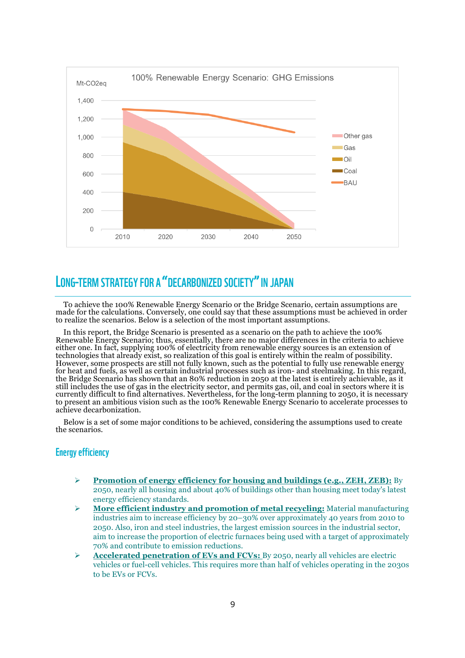

# LONG-TERM STRATEGY FOR A "DECARBONIZED SOCIETY"IN JAPAN

To achieve the 100% Renewable Energy Scenario or the Bridge Scenario, certain assumptions are made for the calculations. Conversely, one could say that these assumptions must be achieved in order to realize the scenarios. Below is a selection of the most important assumptions.

In this report, the Bridge Scenario is presented as a scenario on the path to achieve the 100% Renewable Energy Scenario; thus, essentially, there are no major differences in the criteria to achieve either one. In fact, supplying 100% of electricity from renewable energy sources is an extension of technologies that already exist, so realization of this goal is entirely within the realm of possibility. However, some prospects are still not fully known, such as the potential to fully use renewable energy for heat and fuels, as well as certain industrial processes such as iron- and steelmaking. In this regard, the Bridge Scenario has shown that an 80% reduction in 2050 at the latest is entirely achievable, as it still includes the use of gas in the electricity sector, and permits gas, oil, and coal in sectors where it is currently difficult to find alternatives. Nevertheless, for the long-term planning to 2050, it is necessary to present an ambitious vision such as the 100% Renewable Energy Scenario to accelerate processes to achieve decarbonization.

Below is a set of some major conditions to be achieved, considering the assumptions used to create the scenarios.

#### Energy efficiency

- Ø **Promotion of energy efficiency for housing and buildings (e.g., ZEH, ZEB):** By 2050, nearly all housing and about 40% of buildings other than housing meet today's latest energy efficiency standards.
- Ø **More efficient industry and promotion of metal recycling:** Material manufacturing industries aim to increase efficiency by 20–30% over approximately 40 years from 2010 to 2050. Also, iron and steel industries, the largest emission sources in the industrial sector, aim to increase the proportion of electric furnaces being used with a target of approximately 70% and contribute to emission reductions.
- Ø **Accelerated penetration of EVs and FCVs:** By 2050, nearly all vehicles are electric vehicles or fuel-cell vehicles. This requires more than half of vehicles operating in the 2030s to be EVs or FCVs.